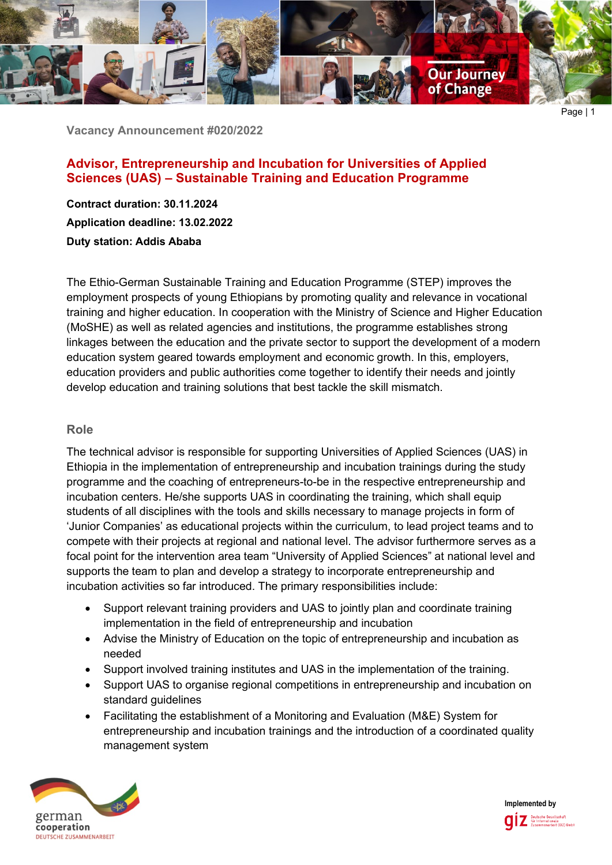

**Vacancy Announcement #020/2022**

# **Advisor, Entrepreneurship and Incubation for Universities of Applied Sciences (UAS) – Sustainable Training and Education Programme**

**Contract duration: 30.11.2024 Application deadline: 13.02.2022 Duty station: Addis Ababa**

The Ethio-German Sustainable Training and Education Programme (STEP) improves the employment prospects of young Ethiopians by promoting quality and relevance in vocational training and higher education. In cooperation with the Ministry of Science and Higher Education (MoSHE) as well as related agencies and institutions, the programme establishes strong linkages between the education and the private sector to support the development of a modern education system geared towards employment and economic growth. In this, employers, education providers and public authorities come together to identify their needs and jointly develop education and training solutions that best tackle the skill mismatch.

### **Role**

The technical advisor is responsible for supporting Universities of Applied Sciences (UAS) in Ethiopia in the implementation of entrepreneurship and incubation trainings during the study programme and the coaching of entrepreneurs-to-be in the respective entrepreneurship and incubation centers. He/she supports UAS in coordinating the training, which shall equip students of all disciplines with the tools and skills necessary to manage projects in form of 'Junior Companies' as educational projects within the curriculum, to lead project teams and to compete with their projects at regional and national level. The advisor furthermore serves as a focal point for the intervention area team "University of Applied Sciences" at national level and supports the team to plan and develop a strategy to incorporate entrepreneurship and incubation activities so far introduced. The primary responsibilities include:

- Support relevant training providers and UAS to jointly plan and coordinate training implementation in the field of entrepreneurship and incubation
- Advise the Ministry of Education on the topic of entrepreneurship and incubation as needed
- Support involved training institutes and UAS in the implementation of the training.
- Support UAS to organise regional competitions in entrepreneurship and incubation on standard guidelines
- Facilitating the establishment of a Monitoring and Evaluation (M&E) System for entrepreneurship and incubation trainings and the introduction of a coordinated quality management system



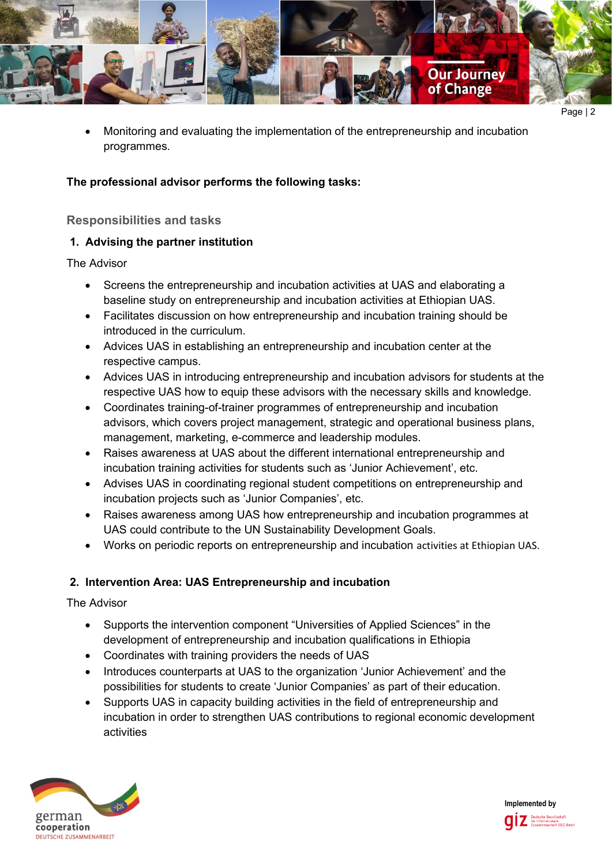

• Monitoring and evaluating the implementation of the entrepreneurship and incubation programmes.

#### **The professional advisor performs the following tasks:**

#### **Responsibilities and tasks**

#### **1. Advising the partner institution**

The Advisor

- Screens the entrepreneurship and incubation activities at UAS and elaborating a baseline study on entrepreneurship and incubation activities at Ethiopian UAS.
- Facilitates discussion on how entrepreneurship and incubation training should be introduced in the curriculum.
- Advices UAS in establishing an entrepreneurship and incubation center at the respective campus.
- Advices UAS in introducing entrepreneurship and incubation advisors for students at the respective UAS how to equip these advisors with the necessary skills and knowledge.
- Coordinates training-of-trainer programmes of entrepreneurship and incubation advisors, which covers project management, strategic and operational business plans, management, marketing, e-commerce and leadership modules.
- Raises awareness at UAS about the different international entrepreneurship and incubation training activities for students such as 'Junior Achievement', etc.
- Advises UAS in coordinating regional student competitions on entrepreneurship and incubation projects such as 'Junior Companies', etc.
- Raises awareness among UAS how entrepreneurship and incubation programmes at UAS could contribute to the UN Sustainability Development Goals.
- Works on periodic reports on entrepreneurship and incubation activities at Ethiopian UAS.

### **2. Intervention Area: UAS Entrepreneurship and incubation**

The Advisor

- Supports the intervention component "Universities of Applied Sciences" in the development of entrepreneurship and incubation qualifications in Ethiopia
- Coordinates with training providers the needs of UAS
- Introduces counterparts at UAS to the organization 'Junior Achievement' and the possibilities for students to create 'Junior Companies' as part of their education.
- Supports UAS in capacity building activities in the field of entrepreneurship and incubation in order to strengthen UAS contributions to regional economic development activities



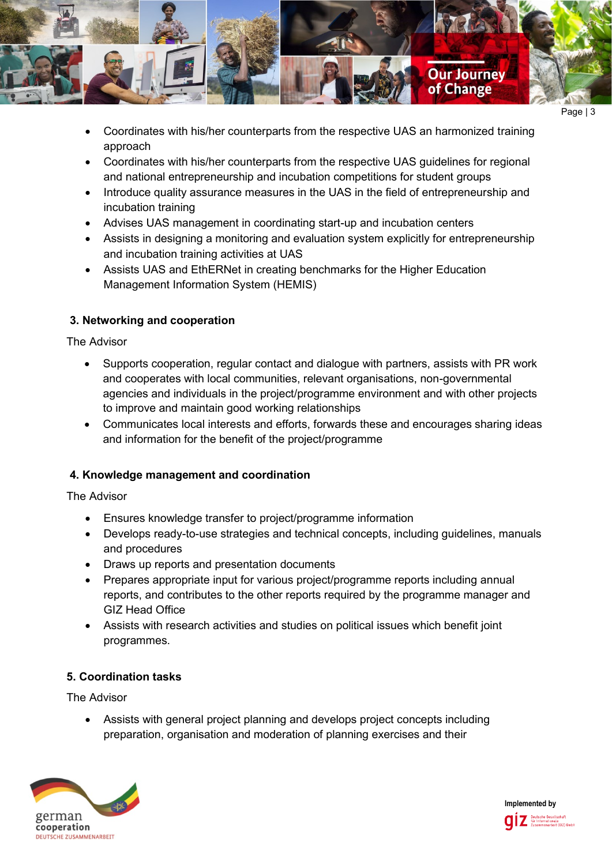

- Page | 3
- Coordinates with his/her counterparts from the respective UAS an harmonized training approach
- Coordinates with his/her counterparts from the respective UAS guidelines for regional and national entrepreneurship and incubation competitions for student groups
- Introduce quality assurance measures in the UAS in the field of entrepreneurship and incubation training
- Advises UAS management in coordinating start-up and incubation centers
- Assists in designing a monitoring and evaluation system explicitly for entrepreneurship and incubation training activities at UAS
- Assists UAS and EthERNet in creating benchmarks for the Higher Education Management Information System (HEMIS)

# **3. Networking and cooperation**

The Advisor

- Supports cooperation, regular contact and dialogue with partners, assists with PR work and cooperates with local communities, relevant organisations, non-governmental agencies and individuals in the project/programme environment and with other projects to improve and maintain good working relationships
- Communicates local interests and efforts, forwards these and encourages sharing ideas and information for the benefit of the project/programme

# **4. Knowledge management and coordination**

The Advisor

- Ensures knowledge transfer to project/programme information
- Develops ready-to-use strategies and technical concepts, including guidelines, manuals and procedures
- Draws up reports and presentation documents
- Prepares appropriate input for various project/programme reports including annual reports, and contributes to the other reports required by the programme manager and GIZ Head Office
- Assists with research activities and studies on political issues which benefit joint programmes.

# **5. Coordination tasks**

The Advisor

• Assists with general project planning and develops project concepts including preparation, organisation and moderation of planning exercises and their



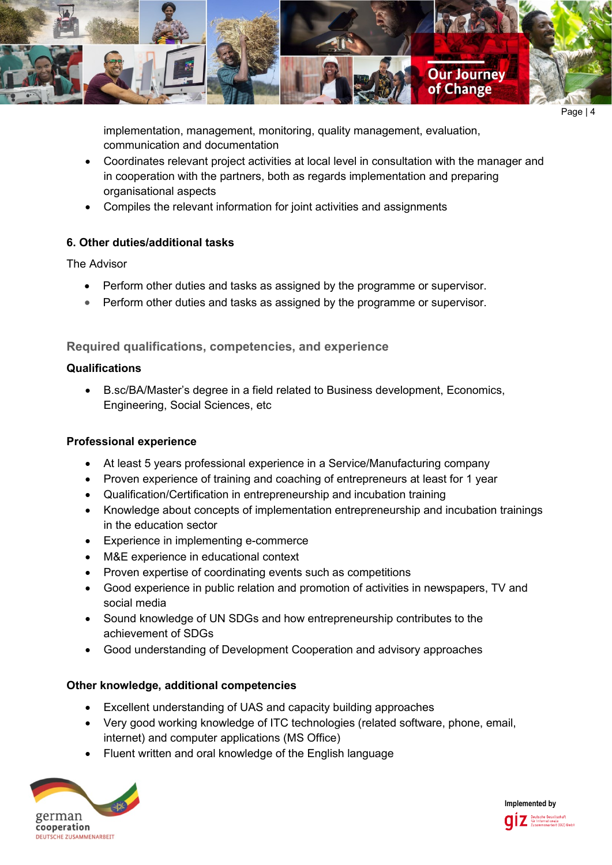

Page | 4

implementation, management, monitoring, quality management, evaluation, communication and documentation

- Coordinates relevant project activities at local level in consultation with the manager and in cooperation with the partners, both as regards implementation and preparing organisational aspects
- Compiles the relevant information for joint activities and assignments

### **6. Other duties/additional tasks**

The Advisor

- Perform other duties and tasks as assigned by the programme or supervisor.
- Perform other duties and tasks as assigned by the programme or supervisor.

### **Required qualifications, competencies, and experience**

#### **Qualifications**

• B.sc/BA/Master's degree in a field related to Business development, Economics, Engineering, Social Sciences, etc

### **Professional experience**

- At least 5 years professional experience in a Service/Manufacturing company
- Proven experience of training and coaching of entrepreneurs at least for 1 year
- Qualification/Certification in entrepreneurship and incubation training
- Knowledge about concepts of implementation entrepreneurship and incubation trainings in the education sector
- Experience in implementing e-commerce
- M&E experience in educational context
- Proven expertise of coordinating events such as competitions
- Good experience in public relation and promotion of activities in newspapers, TV and social media
- Sound knowledge of UN SDGs and how entrepreneurship contributes to the achievement of SDGs
- Good understanding of Development Cooperation and advisory approaches

### **Other knowledge, additional competencies**

- Excellent understanding of UAS and capacity building approaches
- Very good working knowledge of ITC technologies (related software, phone, email, internet) and computer applications (MS Office)
- Fluent written and oral knowledge of the English language